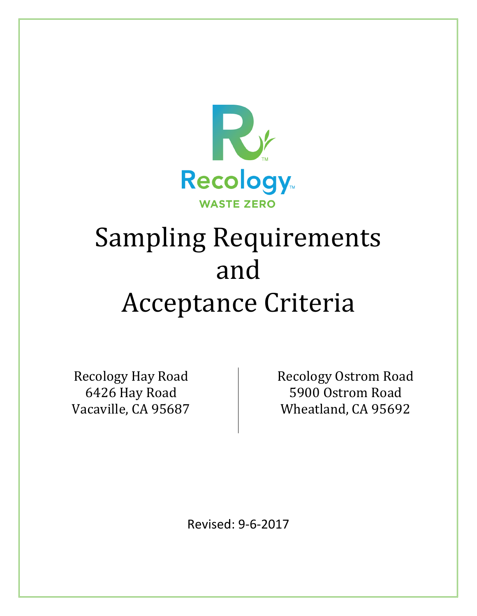

# Sampling Requirements and Acceptance Criteria

Recology Hay Road 6426 Hay Road Vacaville, CA 95687 Recology Ostrom Road 5900 Ostrom Road Wheatland, CA 95692

Revised: 9-6-2017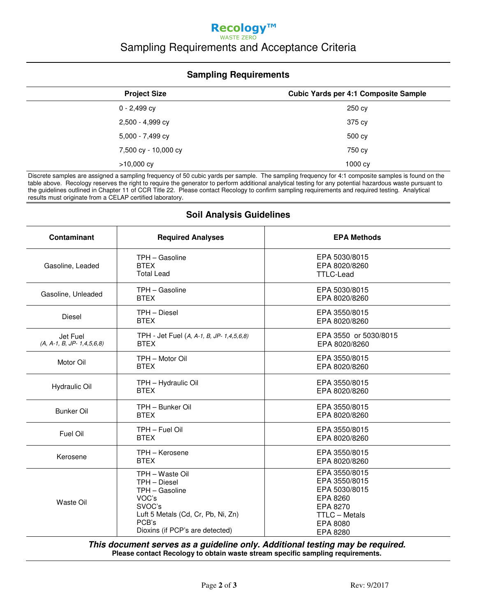## **Recology™**  WASTE ZERO Sampling Requirements and Acceptance Criteria

#### **Sampling Requirements**

| <b>Project Size</b>  | <b>Cubic Yards per 4:1 Composite Sample</b> |
|----------------------|---------------------------------------------|
| $0 - 2,499$ cy       | 250 cy                                      |
| 2,500 - 4,999 cy     | 375 cy                                      |
| 5,000 - 7,499 cy     | 500 cy                                      |
| 7,500 cy - 10,000 cy | 750 cy                                      |
| $>10,000$ cy         | 1000 cy                                     |

Discrete samples are assigned a sampling frequency of 50 cubic yards per sample. The sampling frequency for 4:1 composite samples is found on the table above. Recology reserves the right to require the generator to perform additional analytical testing for any potential hazardous waste pursuant to the guidelines outlined in Chapter 11 of CCR Title 22. Please contact Recology to confirm sampling requirements and required testing. Analytical results must originate from a CELAP certified laboratory.

|  |  | <b>Soil Analysis Guidelines</b> |
|--|--|---------------------------------|
|--|--|---------------------------------|

| Contaminant                             | <b>Required Analyses</b>                                                                                                                               | <b>EPA Methods</b>                                                                                                      |  |
|-----------------------------------------|--------------------------------------------------------------------------------------------------------------------------------------------------------|-------------------------------------------------------------------------------------------------------------------------|--|
| Gasoline, Leaded                        | TPH - Gasoline<br><b>BTEX</b><br><b>Total Lead</b>                                                                                                     | EPA 5030/8015<br>EPA 8020/8260<br><b>TTLC-Lead</b>                                                                      |  |
| Gasoline, Unleaded                      | TPH - Gasoline<br><b>BTEX</b>                                                                                                                          | EPA 5030/8015<br>EPA 8020/8260                                                                                          |  |
| <b>Diesel</b>                           | TPH - Diesel<br><b>BTEX</b>                                                                                                                            | EPA 3550/8015<br>EPA 8020/8260                                                                                          |  |
| Jet Fuel<br>$(A, A-1, B, JP-1,4,5,6,8)$ | TPH - Jet Fuel (A, A-1, B, JP- 1,4,5,6,8)<br><b>BTEX</b>                                                                                               | EPA 3550 or 5030/8015<br>EPA 8020/8260                                                                                  |  |
| Motor Oil                               | TPH - Motor Oil<br><b>BTEX</b>                                                                                                                         | EPA 3550/8015<br>EPA 8020/8260                                                                                          |  |
| Hydraulic Oil                           | TPH - Hydraulic Oil<br><b>BTEX</b>                                                                                                                     | EPA 3550/8015<br>EPA 8020/8260                                                                                          |  |
| <b>Bunker Oil</b>                       | TPH - Bunker Oil<br><b>BTEX</b>                                                                                                                        | EPA 3550/8015<br>EPA 8020/8260                                                                                          |  |
| Fuel Oil                                | TPH - Fuel Oil<br><b>BTEX</b>                                                                                                                          | EPA 3550/8015<br>EPA 8020/8260                                                                                          |  |
| Kerosene                                | TPH - Kerosene<br><b>BTEX</b>                                                                                                                          | EPA 3550/8015<br>EPA 8020/8260                                                                                          |  |
| <b>Waste Oil</b>                        | TPH - Waste Oil<br>TPH - Diesel<br>TPH - Gasoline<br>VOC's<br>SVOC's<br>Luft 5 Metals (Cd, Cr, Pb, Ni, Zn)<br>PCB's<br>Dioxins (if PCP's are detected) | EPA 3550/8015<br>EPA 3550/8015<br>EPA 5030/8015<br>EPA 8260<br>EPA 8270<br><b>TTLC - Metals</b><br>EPA 8080<br>EPA 8280 |  |

**This document serves as a guideline only. Additional testing may be required. Please contact Recology to obtain waste stream specific sampling requirements.**